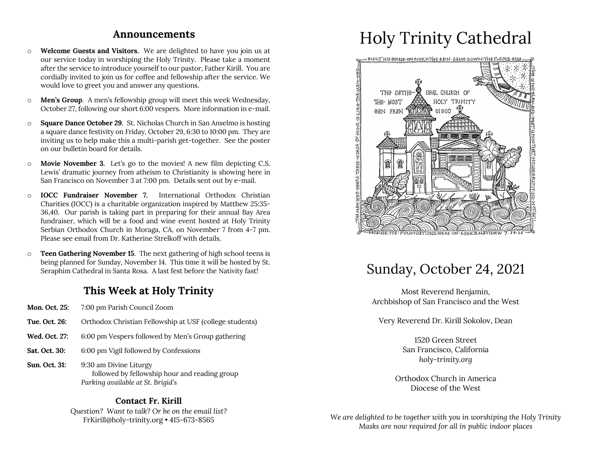### **Announcements**

- o **Welcome Guests and Visitors.** We are delighted to have you join us at our service today in worshiping the Holy Trinity. Please take a moment after the service to introduce yourself to our pastor, Father Kirill. You are cordially invited to join us for coffee and fellowship after the service. We would love to greet you and answer any questions.
- o **Men's Group**. A men's fellowship group will meet this week Wednesday, October 27, following our short 6:00 vespers. More information in e-mail.
- o **Square Dance October 29**. St. Nicholas Church in San Anselmo is hosting a square dance festivity on Friday, October 29, 6:30 to 10:00 pm. They are inviting us to help make this a multi-parish get-together. See the poster on our bulletin board for details.
- o **Movie November 3.** Let's go to the movies! A new film depicting C.S. Lewis' dramatic journey from atheism to Christianity is showing here in San Francisco on November 3 at 7:00 pm. Details sent out by e-mail.
- o **IOCC Fundraiser November 7.** International Orthodox Christian Charities (IOCC) is a charitable organization inspired by Matthew 25:35- 36,40. Our parish is taking part in preparing for their annual Bay Area fundraiser, which will be a food and wine event hosted at Holy Trinity Serbian Orthodox Church in Moraga, CA, on November 7 from 4-7 pm. Please see email from Dr. Katherine Strelkoff with details.
- o **Teen Gathering November 15**. The next gathering of high school teens is being planned for Sunday, November 14. This time it will be hosted by St. Seraphim Cathedral in Santa Rosa. A last fest before the Nativity fast!

### **This Week at Holy Trinity**

- **Mon. Oct. 25:** 7:00 pm Parish Council Zoom
- **Tue. Oct. 26:** Orthodox Christian Fellowship at USF (college students)
- **Wed. Oct. 27:** 6:00 pm Vespers followed by Men's Group gathering
- **Sat. Oct. 30:** 6:00 pm Vigil followed by Confessions
- **Sun. Oct. 31:** 9:30 am Divine Liturgy followed by fellowship hour and reading group *Parking available at St. Brigid's*

### **Contact Fr. Kirill**

*Question? Want to talk? Or be on the email list?* FrKirill@holy-trinity.org • 415-673-8565

# Holy Trinity Cathedral



## Sunday, October 24, 2021

Most Reverend Benjamin, Archbishop of San Francisco and the West

Very Reverend Dr. Kirill Sokolov, Dean

1520 Green Street San Francisco, California *holy-trinity.org*

Orthodox Church in America Diocese of the West

*We are delighted to be together with you in worshiping the Holy Trinity Masks are now required for all in public indoor places*